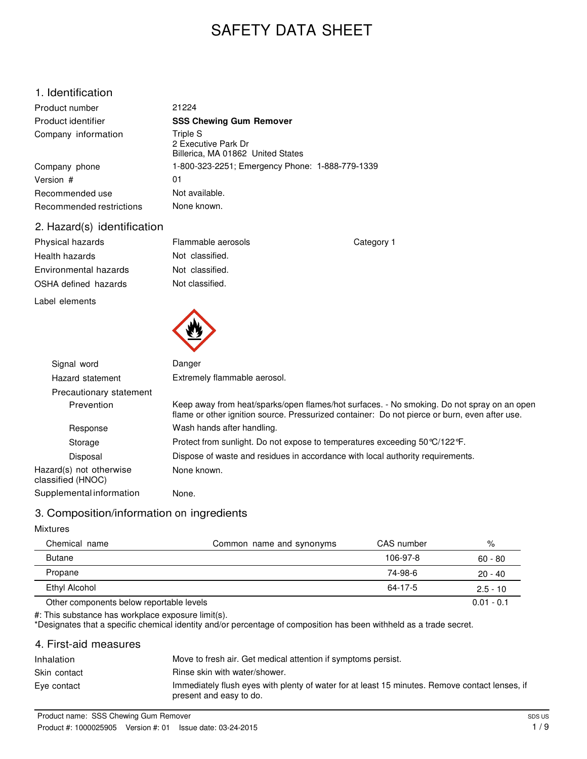# SAFETY DATA SHEET

# 1. Identification

| Product number           | 21224                                                                |
|--------------------------|----------------------------------------------------------------------|
| Product identifier       | <b>SSS Chewing Gum Remover</b>                                       |
| Company information      | Triple S<br>2 Executive Park Dr<br>Billerica, MA 01862 United States |
| Company phone            | 1-800-323-2251; Emergency Phone: 1-888-779-1339                      |
| Version #                | 01                                                                   |
| Recommended use          | Not available.                                                       |
| Recommended restrictions | None known.                                                          |

Flammable aerosols Not classified. Not classified. Not classified.

#### 2. Hazard(s) identification

| Physical hazards      |  |  |
|-----------------------|--|--|
| Health hazards        |  |  |
| Environmental hazards |  |  |
| OSHA defined hazards  |  |  |

Label elements



| Signal word                                  | Danger                                                                                                                                                                                      |  |
|----------------------------------------------|---------------------------------------------------------------------------------------------------------------------------------------------------------------------------------------------|--|
| Hazard statement                             | Extremely flammable aerosol.                                                                                                                                                                |  |
| Precautionary statement                      |                                                                                                                                                                                             |  |
| Prevention                                   | Keep away from heat/sparks/open flames/hot surfaces. - No smoking. Do not spray on an open<br>flame or other ignition source. Pressurized container: Do not pierce or burn, even after use. |  |
| Response                                     | Wash hands after handling.                                                                                                                                                                  |  |
| Storage                                      | Protect from sunlight. Do not expose to temperatures exceeding 50 °C/122 °F.                                                                                                                |  |
| Disposal                                     | Dispose of waste and residues in accordance with local authority requirements.                                                                                                              |  |
| Hazard(s) not otherwise<br>classified (HNOC) | None known.                                                                                                                                                                                 |  |
| Supplemental information                     | None.                                                                                                                                                                                       |  |

Category 1

# 3. Composition/information on ingredients

#### Mixtures

| Chemical name                            | Common name and synonyms | CAS number | %            |
|------------------------------------------|--------------------------|------------|--------------|
| <b>Butane</b>                            |                          | 106-97-8   | $60 - 80$    |
| Propane                                  |                          | 74-98-6    | $20 - 40$    |
| Ethyl Alcohol                            |                          | 64-17-5    | $2.5 - 10$   |
| Other components below reportable levels |                          |            | $0.01 - 0.1$ |

#: This substance has workplace exposure limit(s).

\*Designates that a specific chemical identity and/or percentage of composition has been withheld as a trade secret.

# 4. First-aid measures

| Inhalation   | Move to fresh air. Get medical attention if symptoms persist.                                                             |
|--------------|---------------------------------------------------------------------------------------------------------------------------|
| Skin contact | Rinse skin with water/shower.                                                                                             |
| Eve contact  | Immediately flush eyes with plenty of water for at least 15 minutes. Remove contact lenses, if<br>present and easy to do. |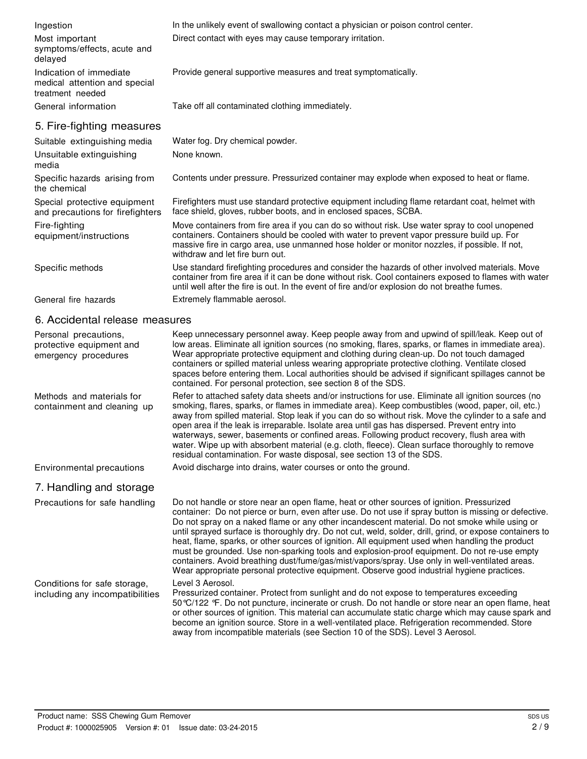| Ingestion                                                                    | In the unlikely event of swallowing contact a physician or poison control center.                                                                                                                                                                                                                                                                                                                                                                                                                                                                                           |  |  |
|------------------------------------------------------------------------------|-----------------------------------------------------------------------------------------------------------------------------------------------------------------------------------------------------------------------------------------------------------------------------------------------------------------------------------------------------------------------------------------------------------------------------------------------------------------------------------------------------------------------------------------------------------------------------|--|--|
| Most important<br>symptoms/effects, acute and<br>delayed                     | Direct contact with eyes may cause temporary irritation.                                                                                                                                                                                                                                                                                                                                                                                                                                                                                                                    |  |  |
| Indication of immediate<br>medical attention and special<br>treatment needed | Provide general supportive measures and treat symptomatically.                                                                                                                                                                                                                                                                                                                                                                                                                                                                                                              |  |  |
| General information                                                          | Take off all contaminated clothing immediately.                                                                                                                                                                                                                                                                                                                                                                                                                                                                                                                             |  |  |
| 5. Fire-fighting measures                                                    |                                                                                                                                                                                                                                                                                                                                                                                                                                                                                                                                                                             |  |  |
| Suitable extinguishing media                                                 | Water fog. Dry chemical powder.                                                                                                                                                                                                                                                                                                                                                                                                                                                                                                                                             |  |  |
| Unsuitable extinguishing<br>media                                            | None known.                                                                                                                                                                                                                                                                                                                                                                                                                                                                                                                                                                 |  |  |
| Specific hazards arising from<br>the chemical                                | Contents under pressure. Pressurized container may explode when exposed to heat or flame.                                                                                                                                                                                                                                                                                                                                                                                                                                                                                   |  |  |
| Special protective equipment<br>and precautions for firefighters             | Firefighters must use standard protective equipment including flame retardant coat, helmet with<br>face shield, gloves, rubber boots, and in enclosed spaces, SCBA.                                                                                                                                                                                                                                                                                                                                                                                                         |  |  |
| Fire-fighting<br>equipment/instructions                                      | Move containers from fire area if you can do so without risk. Use water spray to cool unopened<br>containers. Containers should be cooled with water to prevent vapor pressure build up. For<br>massive fire in cargo area, use unmanned hose holder or monitor nozzles, if possible. If not,<br>withdraw and let fire burn out.                                                                                                                                                                                                                                            |  |  |
| Specific methods                                                             | Use standard firefighting procedures and consider the hazards of other involved materials. Move<br>container from fire area if it can be done without risk. Cool containers exposed to flames with water<br>until well after the fire is out. In the event of fire and/or explosion do not breathe fumes.                                                                                                                                                                                                                                                                   |  |  |
| General fire hazards                                                         | Extremely flammable aerosol.                                                                                                                                                                                                                                                                                                                                                                                                                                                                                                                                                |  |  |
| 6. Accidental release measures                                               |                                                                                                                                                                                                                                                                                                                                                                                                                                                                                                                                                                             |  |  |
| Personal precautions,<br>protective equipment and<br>emergency procedures    | Keep unnecessary personnel away. Keep people away from and upwind of spill/leak. Keep out of<br>low areas. Eliminate all ignition sources (no smoking, flares, sparks, or flames in immediate area).<br>Wear appropriate protective equipment and clothing during clean-up. Do not touch damaged<br>containers or spilled material unless wearing appropriate protective clothing. Ventilate closed<br>spaces before entering them. Local authorities should be advised if significant spillages cannot be<br>contained. For personal protection, see section 8 of the SDS. |  |  |
| Methods and materials for<br>containment and cleaning up                     | Refer to attached safety data sheets and/or instructions for use. Eliminate all ignition sources (no<br>smoking, flares, sparks, or flames in immediate area). Keep combustibles (wood, paper, oil, etc.)<br>away from spilled material. Stop leak if you can do so without risk. Move the cylinder to a safe and                                                                                                                                                                                                                                                           |  |  |

away from spilled material. Stop leak if you can do so without risk. Move the cylinder to a safe and open area if the leak is irreparable. Isolate area until gas has dispersed. Prevent entry into waterways, sewer, basements or confined areas. Following product recovery, flush area with water. Wipe up with absorbent material (e.g. cloth, fleece). Clean surface thoroughly to remove residual contamination. For waste disposal, see section 13 of the SDS.

Environmental precautions Avoid discharge into drains, water courses or onto the ground.

7. Handling and storage

Precautions for safe handling Do not handle or store near an open flame, heat or other sources of ignition. Pressurized container: Do not pierce or burn, even after use. Do not use if spray button is missing or defective. Do not spray on a naked flame or any other incandescent material. Do not smoke while using or until sprayed surface is thoroughly dry. Do not cut, weld, solder, drill, grind, or expose containers to heat, flame, sparks, or other sources of ignition. All equipment used when handling the product must be grounded. Use non-sparking tools and explosion-proof equipment. Do not re-use empty containers. Avoid breathing dust/fume/gas/mist/vapors/spray. Use only in well-ventilated areas. Wear appropriate personal protective equipment. Observe good industrial hygiene practices. Level 3 Aerosol.

Conditions for safe storage, including any incompatibilities

Pressurized container. Protect from sunlight and do not expose to temperatures exceeding 50°C/122 °F. Do not puncture, incinerate or crush. Do not handle or store near an open flame, heat or other sources of ignition. This material can accumulate static charge which may cause spark and become an ignition source. Store in a well-ventilated place. Refrigeration recommended. Store away from incompatible materials (see Section 10 of the SDS). Level 3 Aerosol.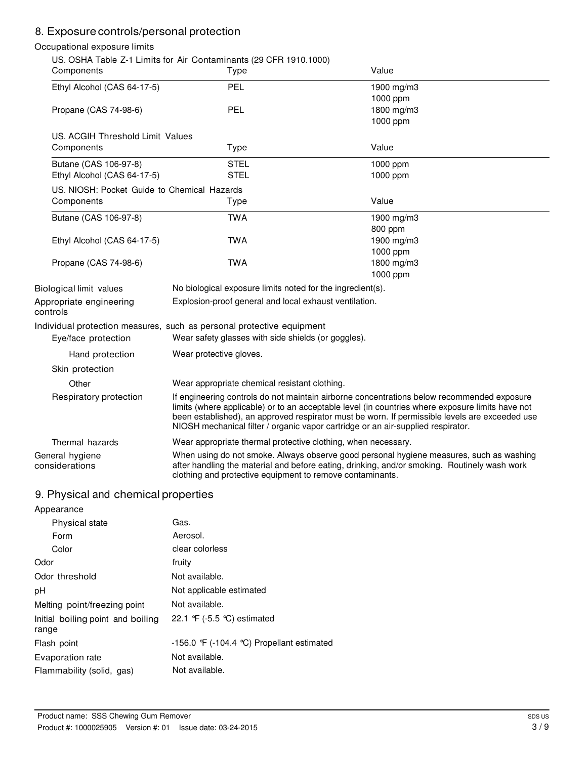# 8. Exposure controls/personal protection

#### Occupational exposure limits

|                                             | US. OSHA Table Z-1 Limits for Air Contaminants (29 CFR 1910.1000)                                                                                                                                                                                                                                                                                                                    |            |
|---------------------------------------------|--------------------------------------------------------------------------------------------------------------------------------------------------------------------------------------------------------------------------------------------------------------------------------------------------------------------------------------------------------------------------------------|------------|
| Components                                  | Type                                                                                                                                                                                                                                                                                                                                                                                 | Value      |
| Ethyl Alcohol (CAS 64-17-5)                 | PEL                                                                                                                                                                                                                                                                                                                                                                                  | 1900 mg/m3 |
|                                             |                                                                                                                                                                                                                                                                                                                                                                                      | 1000 ppm   |
| Propane (CAS 74-98-6)                       | PEL                                                                                                                                                                                                                                                                                                                                                                                  | 1800 mg/m3 |
|                                             |                                                                                                                                                                                                                                                                                                                                                                                      | 1000 ppm   |
| US. ACGIH Threshold Limit Values            |                                                                                                                                                                                                                                                                                                                                                                                      |            |
| Components                                  | <b>Type</b>                                                                                                                                                                                                                                                                                                                                                                          | Value      |
| Butane (CAS 106-97-8)                       | <b>STEL</b>                                                                                                                                                                                                                                                                                                                                                                          | 1000 ppm   |
| Ethyl Alcohol (CAS 64-17-5)                 | <b>STEL</b>                                                                                                                                                                                                                                                                                                                                                                          | 1000 ppm   |
| US, NIOSH: Pocket Guide to Chemical Hazards |                                                                                                                                                                                                                                                                                                                                                                                      |            |
| Components                                  | Type                                                                                                                                                                                                                                                                                                                                                                                 | Value      |
| Butane (CAS 106-97-8)                       | <b>TWA</b>                                                                                                                                                                                                                                                                                                                                                                           | 1900 mg/m3 |
|                                             |                                                                                                                                                                                                                                                                                                                                                                                      | 800 ppm    |
| Ethyl Alcohol (CAS 64-17-5)                 | <b>TWA</b>                                                                                                                                                                                                                                                                                                                                                                           | 1900 mg/m3 |
|                                             |                                                                                                                                                                                                                                                                                                                                                                                      | 1000 ppm   |
| Propane (CAS 74-98-6)                       | <b>TWA</b>                                                                                                                                                                                                                                                                                                                                                                           | 1800 mg/m3 |
|                                             |                                                                                                                                                                                                                                                                                                                                                                                      | 1000 ppm   |
| Biological limit values                     | No biological exposure limits noted for the ingredient(s).                                                                                                                                                                                                                                                                                                                           |            |
| Appropriate engineering<br>controls         | Explosion-proof general and local exhaust ventilation.                                                                                                                                                                                                                                                                                                                               |            |
|                                             | Individual protection measures, such as personal protective equipment                                                                                                                                                                                                                                                                                                                |            |
| Eye/face protection                         | Wear safety glasses with side shields (or goggles).                                                                                                                                                                                                                                                                                                                                  |            |
| Hand protection                             | Wear protective gloves.                                                                                                                                                                                                                                                                                                                                                              |            |
| Skin protection                             |                                                                                                                                                                                                                                                                                                                                                                                      |            |
| Other                                       | Wear appropriate chemical resistant clothing.                                                                                                                                                                                                                                                                                                                                        |            |
| Respiratory protection                      | If engineering controls do not maintain airborne concentrations below recommended exposure<br>limits (where applicable) or to an acceptable level (in countries where exposure limits have not<br>been established), an approved respirator must be worn. If permissible levels are exceeded use<br>NIOSH mechanical filter / organic vapor cartridge or an air-supplied respirator. |            |
| Thermal hazards                             | Wear appropriate thermal protective clothing, when necessary.                                                                                                                                                                                                                                                                                                                        |            |
| General hygiene<br>considerations           | When using do not smoke. Always observe good personal hygiene measures, such as washing<br>after handling the material and before eating, drinking, and/or smoking. Routinely wash work<br>clothing and protective equipment to remove contaminants.                                                                                                                                 |            |

# 9. Physical and chemical properties

| Appearance                                 |                                                |
|--------------------------------------------|------------------------------------------------|
| Physical state                             | Gas.                                           |
| Form                                       | Aerosol.                                       |
| Color                                      | clear colorless                                |
| Odor                                       | fruity                                         |
| Odor threshold                             | Not available.                                 |
| рH                                         | Not applicable estimated                       |
| Melting point/freezing point               | Not available.                                 |
| Initial boiling point and boiling<br>range | 22.1 $\mathcal{F}$ (-5.5 °C) estimated         |
| Flash point                                | $-156.0$ F ( $-104.4$ °C) Propellant estimated |
| Evaporation rate                           | Not available.                                 |
| Flammability (solid, gas)                  | Not available.                                 |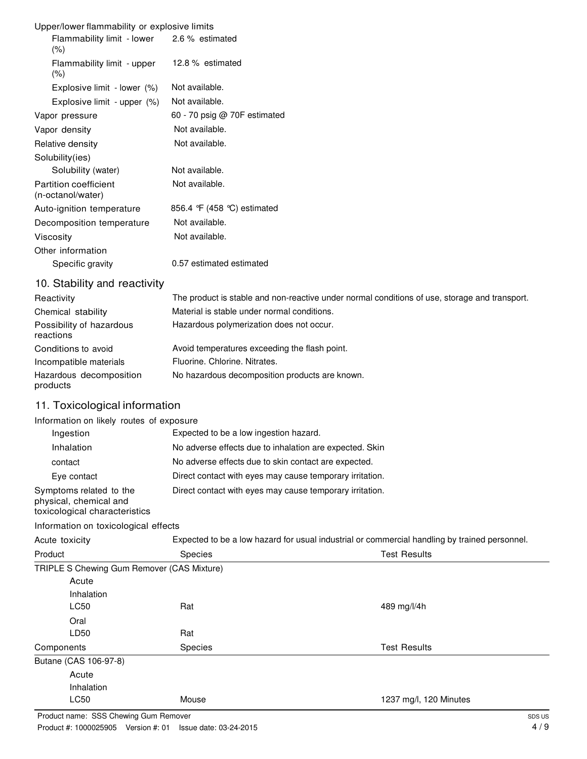| Upper/lower flammability or explosive limits          |                              |  |
|-------------------------------------------------------|------------------------------|--|
| Flammability limit - lower 2.6 % estimated<br>$(\% )$ |                              |  |
| Flammability limit - upper<br>$(\% )$                 | 12.8 % estimated             |  |
| Explosive limit - lower (%)                           | Not available.               |  |
| Explosive limit - upper (%)                           | Not available.               |  |
| Vapor pressure                                        | 60 - 70 psig @ 70F estimated |  |
| Vapor density                                         | Not available.               |  |
| Relative density                                      | Not available.               |  |
| Solubility(ies)                                       |                              |  |
| Solubility (water)                                    | Not available.               |  |
| Partition coefficient<br>(n-octanol/water)            | Not available.               |  |
| Auto-ignition temperature                             | 856.4 F (458 °C) estimated   |  |
| Decomposition temperature                             | Not available.               |  |
| Viscosity                                             | Not available.               |  |
| Other information                                     |                              |  |
| Specific gravity                                      | 0.57 estimated estimated     |  |

# 10. Stability and reactivity

| Reactivity                            | The product is stable and non-reactive under normal conditions of use, storage and transport. |
|---------------------------------------|-----------------------------------------------------------------------------------------------|
| Chemical stability                    | Material is stable under normal conditions.                                                   |
| Possibility of hazardous<br>reactions | Hazardous polymerization does not occur.                                                      |
| Conditions to avoid                   | Avoid temperatures exceeding the flash point.                                                 |
| Incompatible materials                | Fluorine, Chlorine, Nitrates.                                                                 |
| Hazardous decomposition<br>products   | No hazardous decomposition products are known.                                                |

# 11. Toxicological information

#### Information on likely routes of exposure

| Ingestion                                                                          | Expected to be a low ingestion hazard.                   |
|------------------------------------------------------------------------------------|----------------------------------------------------------|
| Inhalation                                                                         | No adverse effects due to inhalation are expected. Skin  |
| contact                                                                            | No adverse effects due to skin contact are expected.     |
| Eye contact                                                                        | Direct contact with eyes may cause temporary irritation. |
| Symptoms related to the<br>physical, chemical and<br>toxicological characteristics | Direct contact with eyes may cause temporary irritation. |

# Information on toxicological effects

| Acute toxicity<br>Product                  |                | Expected to be a low hazard for usual industrial or commercial handling by trained personnel. |  |
|--------------------------------------------|----------------|-----------------------------------------------------------------------------------------------|--|
|                                            | <b>Species</b> | <b>Test Results</b>                                                                           |  |
| TRIPLE S Chewing Gum Remover (CAS Mixture) |                |                                                                                               |  |
| Acute                                      |                |                                                                                               |  |
| Inhalation                                 |                |                                                                                               |  |
| <b>LC50</b>                                | Rat            | 489 mg/l/4h                                                                                   |  |
| Oral                                       |                |                                                                                               |  |
| LD50                                       | Rat            |                                                                                               |  |
| Components                                 | <b>Species</b> | <b>Test Results</b>                                                                           |  |
| Butane (CAS 106-97-8)                      |                |                                                                                               |  |
| Acute                                      |                |                                                                                               |  |
| Inhalation                                 |                |                                                                                               |  |
| <b>LC50</b>                                | Mouse          | 1237 mg/l, 120 Minutes                                                                        |  |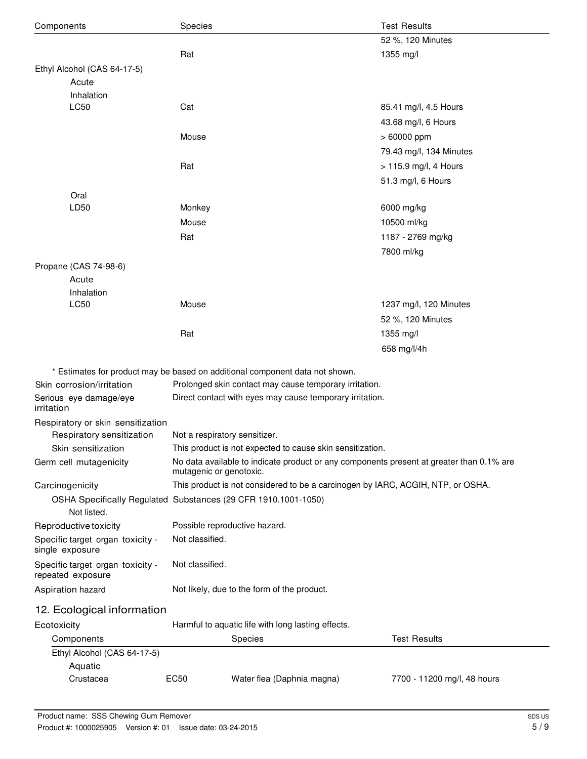| Components                                            | Species                                                                                                             | <b>Test Results</b>         |
|-------------------------------------------------------|---------------------------------------------------------------------------------------------------------------------|-----------------------------|
|                                                       |                                                                                                                     | 52 %, 120 Minutes           |
|                                                       | Rat                                                                                                                 | 1355 mg/l                   |
| Ethyl Alcohol (CAS 64-17-5)                           |                                                                                                                     |                             |
| Acute                                                 |                                                                                                                     |                             |
| Inhalation                                            |                                                                                                                     |                             |
| LC50                                                  | Cat                                                                                                                 | 85.41 mg/l, 4.5 Hours       |
|                                                       |                                                                                                                     | 43.68 mg/l, 6 Hours         |
|                                                       | Mouse                                                                                                               | $>60000$ ppm                |
|                                                       |                                                                                                                     | 79.43 mg/l, 134 Minutes     |
|                                                       | Rat                                                                                                                 | > 115.9 mg/l, 4 Hours       |
|                                                       |                                                                                                                     | 51.3 mg/l, 6 Hours          |
| Oral                                                  |                                                                                                                     |                             |
| LD50                                                  | Monkey                                                                                                              | 6000 mg/kg                  |
|                                                       | Mouse                                                                                                               | 10500 ml/kg                 |
|                                                       | Rat                                                                                                                 | 1187 - 2769 mg/kg           |
|                                                       |                                                                                                                     | 7800 ml/kg                  |
| Propane (CAS 74-98-6)                                 |                                                                                                                     |                             |
| Acute                                                 |                                                                                                                     |                             |
| Inhalation                                            |                                                                                                                     |                             |
| LC50                                                  | Mouse                                                                                                               | 1237 mg/l, 120 Minutes      |
|                                                       |                                                                                                                     | 52 %, 120 Minutes           |
|                                                       | Rat                                                                                                                 | 1355 mg/l                   |
|                                                       |                                                                                                                     | 658 mg/l/4h                 |
|                                                       | * Estimates for product may be based on additional component data not shown.                                        |                             |
| Skin corrosion/irritation                             | Prolonged skin contact may cause temporary irritation.                                                              |                             |
| Serious eye damage/eye                                | Direct contact with eyes may cause temporary irritation.                                                            |                             |
| irritation                                            |                                                                                                                     |                             |
| Respiratory or skin sensitization                     |                                                                                                                     |                             |
| Respiratory sensitization                             | Not a respiratory sensitizer.                                                                                       |                             |
| Skin sensitization                                    | This product is not expected to cause skin sensitization.                                                           |                             |
| Germ cell mutagenicity                                | No data available to indicate product or any components present at greater than 0.1% are<br>mutagenic or genotoxic. |                             |
| Carcinogenicity                                       | This product is not considered to be a carcinogen by IARC, ACGIH, NTP, or OSHA.                                     |                             |
|                                                       | OSHA Specifically Regulated Substances (29 CFR 1910.1001-1050)                                                      |                             |
| Not listed.                                           |                                                                                                                     |                             |
| Reproductive toxicity                                 | Possible reproductive hazard.                                                                                       |                             |
| Specific target organ toxicity -<br>single exposure   | Not classified.                                                                                                     |                             |
| Specific target organ toxicity -<br>repeated exposure | Not classified.                                                                                                     |                             |
| Aspiration hazard                                     | Not likely, due to the form of the product.                                                                         |                             |
| 12. Ecological information                            |                                                                                                                     |                             |
| Ecotoxicity                                           | Harmful to aquatic life with long lasting effects.                                                                  |                             |
| Components                                            | Species                                                                                                             | <b>Test Results</b>         |
| Ethyl Alcohol (CAS 64-17-5)                           |                                                                                                                     |                             |
| Aquatic                                               |                                                                                                                     |                             |
| Crustacea                                             | Water flea (Daphnia magna)<br>EC50                                                                                  | 7700 - 11200 mg/l, 48 hours |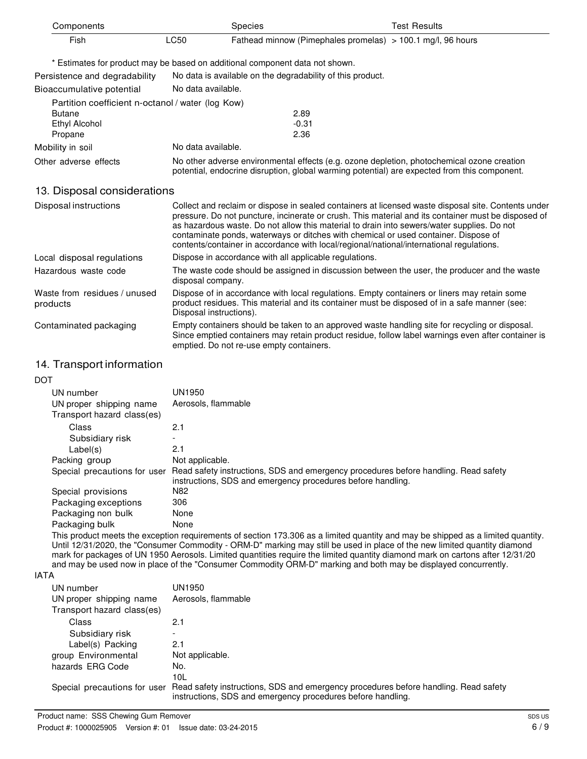| Components                                        |                    | <b>Species</b>                                                                                                                                                                             | <b>Test Results</b> |
|---------------------------------------------------|--------------------|--------------------------------------------------------------------------------------------------------------------------------------------------------------------------------------------|---------------------|
| Fish                                              | <b>LC50</b>        | Fathead minnow (Pimephales promelas) $> 100.1$ mg/l, 96 hours                                                                                                                              |                     |
|                                                   |                    | * Estimates for product may be based on additional component data not shown.                                                                                                               |                     |
| Persistence and degradability                     |                    | No data is available on the degradability of this product.                                                                                                                                 |                     |
| Bioaccumulative potential                         | No data available. |                                                                                                                                                                                            |                     |
| Partition coefficient n-octanol / water (log Kow) |                    |                                                                                                                                                                                            |                     |
| <b>Butane</b>                                     |                    | 2.89                                                                                                                                                                                       |                     |
| Ethyl Alcohol                                     |                    | $-0.31$                                                                                                                                                                                    |                     |
| Propane                                           |                    | 2.36                                                                                                                                                                                       |                     |
| Mobility in soil                                  | No data available. |                                                                                                                                                                                            |                     |
| Other adverse effects                             |                    | No other adverse environmental effects (e.g. ozone depletion, photochemical ozone creation<br>potential, endocrine disruption, global warming potential) are expected from this component. |                     |
|                                                   |                    |                                                                                                                                                                                            |                     |

#### 13. Disposal considerations

| Disposal instructions                    | Collect and reclaim or dispose in sealed containers at licensed waste disposal site. Contents under<br>pressure. Do not puncture, incinerate or crush. This material and its container must be disposed of<br>as hazardous waste. Do not allow this material to drain into sewers/water supplies. Do not<br>contaminate ponds, waterways or ditches with chemical or used container. Dispose of<br>contents/container in accordance with local/regional/national/international regulations. |
|------------------------------------------|---------------------------------------------------------------------------------------------------------------------------------------------------------------------------------------------------------------------------------------------------------------------------------------------------------------------------------------------------------------------------------------------------------------------------------------------------------------------------------------------|
| Local disposal regulations               | Dispose in accordance with all applicable regulations.                                                                                                                                                                                                                                                                                                                                                                                                                                      |
| Hazardous waste code                     | The waste code should be assigned in discussion between the user, the producer and the waste<br>disposal company.                                                                                                                                                                                                                                                                                                                                                                           |
| Waste from residues / unused<br>products | Dispose of in accordance with local regulations. Empty containers or liners may retain some<br>product residues. This material and its container must be disposed of in a safe manner (see:<br>Disposal instructions).                                                                                                                                                                                                                                                                      |
| Contaminated packaging                   | Empty containers should be taken to an approved waste handling site for recycling or disposal.<br>Since emptied containers may retain product residue, follow label warnings even after container is<br>emptied. Do not re-use empty containers.                                                                                                                                                                                                                                            |

# 14. Transport information

| <b>DOT</b> |                                                       |                                                                                                                                                    |
|------------|-------------------------------------------------------|----------------------------------------------------------------------------------------------------------------------------------------------------|
|            | UN number                                             | UN1950                                                                                                                                             |
|            | UN proper shipping name<br>Transport hazard class(es) | Aerosols, flammable                                                                                                                                |
|            | Class                                                 | 2.1                                                                                                                                                |
|            | Subsidiary risk                                       |                                                                                                                                                    |
|            | Label(s)                                              | 2.1                                                                                                                                                |
|            | Packing group                                         | Not applicable.                                                                                                                                    |
|            | Special precautions for user                          | Read safety instructions, SDS and emergency procedures before handling. Read safety<br>instructions, SDS and emergency procedures before handling. |
|            | Special provisions                                    | N82                                                                                                                                                |
|            | Packaging exceptions                                  | 306                                                                                                                                                |
|            | Packaging non bulk                                    | None                                                                                                                                               |
|            | Packaging bulk                                        | None                                                                                                                                               |
|            |                                                       | This was dust months that according results no sente of existing 470,000 as a limited according and months and designed as a limited according     |

This product meets the exception requirements of section 173.306 as a limited quantity and may be shipped as a limited quantity. Until 12/31/2020, the "Consumer Commodity - ORM-D" marking may still be used in place of the new limited quantity diamond mark for packages of UN 1950 Aerosols. Limited quantities require the limited quantity diamond mark on cartons after 12/31/20 and may be used now in place of the "Consumer Commodity ORM-D" marking and both may be displayed concurrently.

#### IATA

| UN number<br>UN proper shipping name<br>Transport hazard class(es) | UN1950<br>Aerosols, flammable                                                                                                                                                   |
|--------------------------------------------------------------------|---------------------------------------------------------------------------------------------------------------------------------------------------------------------------------|
| Class                                                              | 2.1                                                                                                                                                                             |
| Subsidiary risk                                                    | -                                                                                                                                                                               |
| Label(s) Packing                                                   | 2.1                                                                                                                                                                             |
| group Environmental                                                | Not applicable.                                                                                                                                                                 |
| hazards ERG Code                                                   | No.                                                                                                                                                                             |
|                                                                    | 10L                                                                                                                                                                             |
|                                                                    | Special precautions for user Read safety instructions, SDS and emergency procedures before handling. Read safety<br>instructions, SDS and emergency procedures before handling. |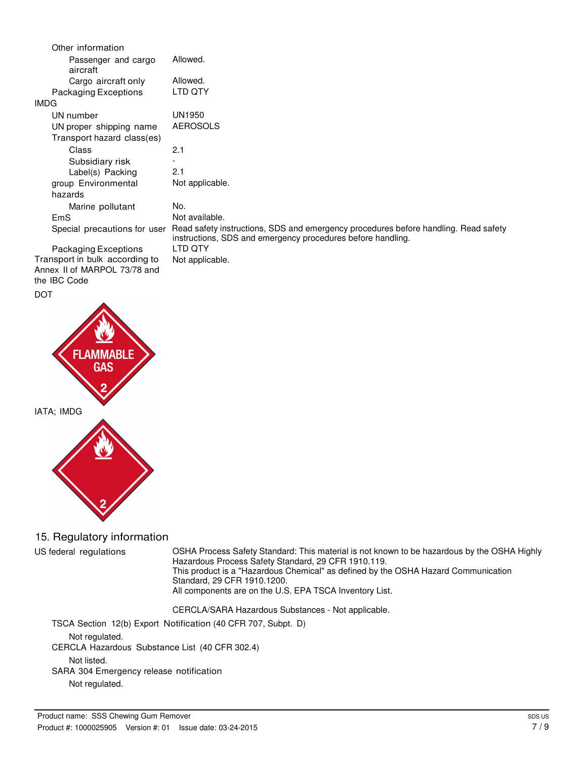| Other information               |                                                                                                                                                    |
|---------------------------------|----------------------------------------------------------------------------------------------------------------------------------------------------|
| Passenger and cargo<br>aircraft | Allowed.                                                                                                                                           |
| Cargo aircraft only             | Allowed.                                                                                                                                           |
| Packaging Exceptions            | LTD QTY                                                                                                                                            |
| <b>IMDG</b>                     |                                                                                                                                                    |
| UN number                       | UN1950                                                                                                                                             |
| UN proper shipping name         | <b>AEROSOLS</b>                                                                                                                                    |
| Transport hazard class(es)      |                                                                                                                                                    |
| Class                           | 2.1                                                                                                                                                |
| Subsidiary risk                 |                                                                                                                                                    |
| Label(s) Packing                | 2.1                                                                                                                                                |
| group Environmental             | Not applicable.                                                                                                                                    |
| hazards                         |                                                                                                                                                    |
| Marine pollutant                | No.                                                                                                                                                |
| <b>EmS</b>                      | Not available.                                                                                                                                     |
| Special precautions for user    | Read safety instructions, SDS and emergency procedures before handling. Read safety<br>instructions, SDS and emergency procedures before handling. |
| Packaging Exceptions            | LTD QTY                                                                                                                                            |
| Transport in bulk according to  | Not applicable.                                                                                                                                    |
| Annex II of MARPOL 73/78 and    |                                                                                                                                                    |
| the IBC Code                    |                                                                                                                                                    |

# DOT **FLAMMA** F IATA; IMDG

### 15. Regulatory information

US federal regulations OSHA Process Safety Standard: This material is not known to be hazardous by the OSHA Highly Hazardous Process Safety Standard, 29 CFR 1910.119. This product is a "Hazardous Chemical" as defined by the OSHA Hazard Communication Standard, 29 CFR 1910.1200. All components are on the U.S. EPA TSCA Inventory List.

CERCLA/SARA Hazardous Substances - Not applicable.

TSCA Section 12(b) Export Notification (40 CFR 707, Subpt. D) Not regulated. CERCLA Hazardous Substance List (40 CFR 302.4) Not listed. SARA 304 Emergency release notification Not regulated.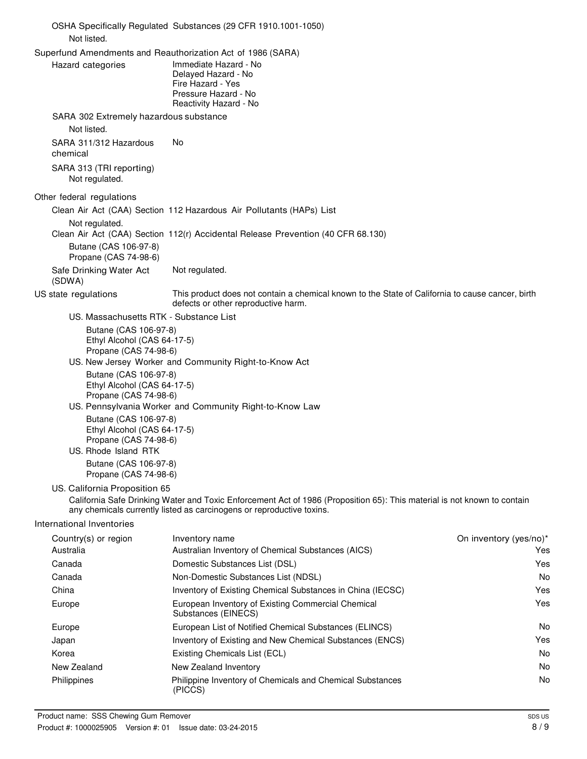|                                                                                                                                                                                                                                                                                                                                                                     | OSHA Specifically Regulated Substances (29 CFR 1910.1001-1050)                                                                                                                                    |                               |
|---------------------------------------------------------------------------------------------------------------------------------------------------------------------------------------------------------------------------------------------------------------------------------------------------------------------------------------------------------------------|---------------------------------------------------------------------------------------------------------------------------------------------------------------------------------------------------|-------------------------------|
| Not listed.                                                                                                                                                                                                                                                                                                                                                         |                                                                                                                                                                                                   |                               |
| Superfund Amendments and Reauthorization Act of 1986 (SARA)<br>Hazard categories                                                                                                                                                                                                                                                                                    | Immediate Hazard - No<br>Delayed Hazard - No<br>Fire Hazard - Yes<br>Pressure Hazard - No<br>Reactivity Hazard - No                                                                               |                               |
| SARA 302 Extremely hazardous substance<br>Not listed.                                                                                                                                                                                                                                                                                                               |                                                                                                                                                                                                   |                               |
| SARA 311/312 Hazardous<br>chemical                                                                                                                                                                                                                                                                                                                                  | No                                                                                                                                                                                                |                               |
| SARA 313 (TRI reporting)<br>Not regulated.                                                                                                                                                                                                                                                                                                                          |                                                                                                                                                                                                   |                               |
| Other federal regulations                                                                                                                                                                                                                                                                                                                                           |                                                                                                                                                                                                   |                               |
| Not regulated.                                                                                                                                                                                                                                                                                                                                                      | Clean Air Act (CAA) Section 112 Hazardous Air Pollutants (HAPs) List                                                                                                                              |                               |
| Butane (CAS 106-97-8)<br>Propane (CAS 74-98-6)                                                                                                                                                                                                                                                                                                                      | Clean Air Act (CAA) Section 112(r) Accidental Release Prevention (40 CFR 68.130)                                                                                                                  |                               |
| Safe Drinking Water Act<br>(SDWA)                                                                                                                                                                                                                                                                                                                                   | Not regulated.                                                                                                                                                                                    |                               |
| US state regulations                                                                                                                                                                                                                                                                                                                                                | This product does not contain a chemical known to the State of California to cause cancer, birth<br>defects or other reproductive harm.                                                           |                               |
| US. Massachusetts RTK - Substance List<br>Butane (CAS 106-97-8)<br>Ethyl Alcohol (CAS 64-17-5)<br>Propane (CAS 74-98-6)<br>Butane (CAS 106-97-8)<br>Ethyl Alcohol (CAS 64-17-5)<br>Propane (CAS 74-98-6)<br>Butane (CAS 106-97-8)<br>Ethyl Alcohol (CAS 64-17-5)<br>Propane (CAS 74-98-6)<br>US. Rhode Island RTK<br>Butane (CAS 106-97-8)<br>Propane (CAS 74-98-6) | US. New Jersey Worker and Community Right-to-Know Act<br>US. Pennsylvania Worker and Community Right-to-Know Law                                                                                  |                               |
| US. California Proposition 65                                                                                                                                                                                                                                                                                                                                       | California Safe Drinking Water and Toxic Enforcement Act of 1986 (Proposition 65): This material is not known to contain<br>any chemicals currently listed as carcinogens or reproductive toxins. |                               |
| International Inventories                                                                                                                                                                                                                                                                                                                                           |                                                                                                                                                                                                   |                               |
| Country(s) or region<br>Australia                                                                                                                                                                                                                                                                                                                                   | Inventory name<br>Australian Inventory of Chemical Substances (AICS)                                                                                                                              | On inventory (yes/no)*<br>Yes |
| Canada                                                                                                                                                                                                                                                                                                                                                              | Domestic Substances List (DSL)                                                                                                                                                                    | Yes                           |
| Canada                                                                                                                                                                                                                                                                                                                                                              | Non-Domestic Substances List (NDSL)                                                                                                                                                               | No                            |
| China                                                                                                                                                                                                                                                                                                                                                               | Inventory of Existing Chemical Substances in China (IECSC)                                                                                                                                        | Yes                           |
| Europe                                                                                                                                                                                                                                                                                                                                                              | European Inventory of Existing Commercial Chemical<br>Substances (EINECS)                                                                                                                         | Yes                           |
| Europe                                                                                                                                                                                                                                                                                                                                                              | European List of Notified Chemical Substances (ELINCS)                                                                                                                                            | No.                           |
| Japan                                                                                                                                                                                                                                                                                                                                                               | Inventory of Existing and New Chemical Substances (ENCS)                                                                                                                                          | Yes                           |
| Korea                                                                                                                                                                                                                                                                                                                                                               | Existing Chemicals List (ECL)                                                                                                                                                                     | No                            |
| New Zealand                                                                                                                                                                                                                                                                                                                                                         | New Zealand Inventory                                                                                                                                                                             | No                            |
| Philippines                                                                                                                                                                                                                                                                                                                                                         | Philippine Inventory of Chemicals and Chemical Substances<br>(PICCS)                                                                                                                              | No.                           |